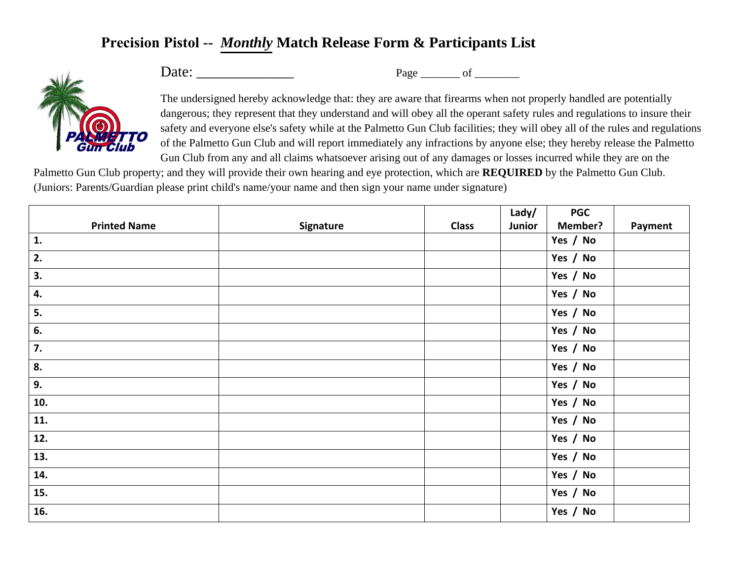## **Precision Pistol --** *Monthly* **Match Release Form & Participants List**



Date: \_\_\_\_\_\_\_\_\_\_\_\_\_ Page \_\_\_\_\_\_\_ of \_\_\_\_\_\_\_\_

The undersigned hereby acknowledge that: they are aware that firearms when not properly handled are potentially dangerous; they represent that they understand and will obey all the operant safety rules and regulations to insure their safety and everyone else's safety while at the Palmetto Gun Club facilities; they will obey all of the rules and regulations of the Palmetto Gun Club and will report immediately any infractions by anyone else; they hereby release the Palmetto Gun Club from any and all claims whatsoever arising out of any damages or losses incurred while they are on the

Palmetto Gun Club property; and they will provide their own hearing and eye protection, which are **REQUIRED** by the Palmetto Gun Club. (Juniors: Parents/Guardian please print child's name/your name and then sign your name under signature)

|                     |           |              | Lady/  | <b>PGC</b> |         |
|---------------------|-----------|--------------|--------|------------|---------|
| <b>Printed Name</b> | Signature | <b>Class</b> | Junior | Member?    | Payment |
| $\mathbf{1}$ .      |           |              |        | Yes / No   |         |
| 2.                  |           |              |        | Yes / No   |         |
| 3.                  |           |              |        | Yes / No   |         |
| 4.                  |           |              |        | Yes / No   |         |
| 5.                  |           |              |        | Yes / No   |         |
| 6.                  |           |              |        | Yes / No   |         |
| 7.                  |           |              |        | Yes / No   |         |
| 8.                  |           |              |        | Yes / No   |         |
| 9.                  |           |              |        | Yes / No   |         |
| 10.                 |           |              |        | Yes / No   |         |
| 11.                 |           |              |        | Yes / No   |         |
| 12.                 |           |              |        | Yes / No   |         |
| 13.                 |           |              |        | Yes / No   |         |
| 14.                 |           |              |        | Yes / No   |         |
| 15.                 |           |              |        | Yes / No   |         |
| 16.                 |           |              |        | Yes / No   |         |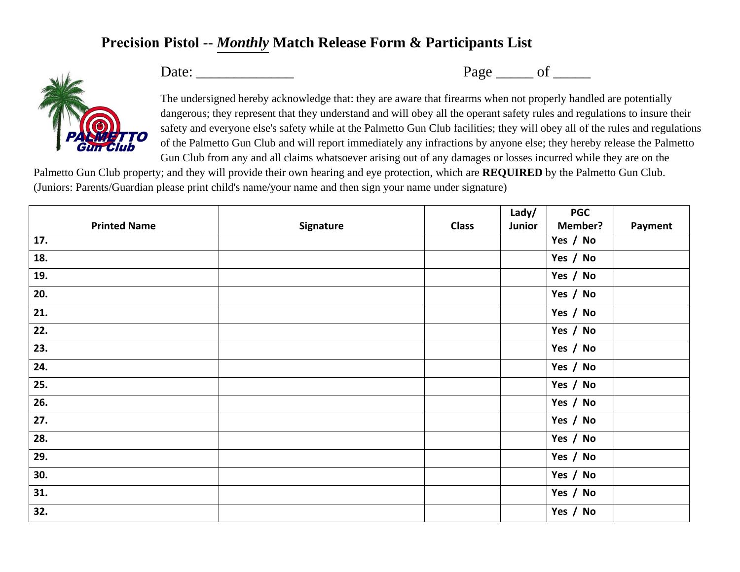## **Precision Pistol --** *Monthly* **Match Release Form & Participants List**



Date: \_\_\_\_\_\_\_\_\_\_\_\_\_ Page \_\_\_\_\_ of \_\_\_\_\_

The undersigned hereby acknowledge that: they are aware that firearms when not properly handled are potentially dangerous; they represent that they understand and will obey all the operant safety rules and regulations to insure their safety and everyone else's safety while at the Palmetto Gun Club facilities; they will obey all of the rules and regulations of the Palmetto Gun Club and will report immediately any infractions by anyone else; they hereby release the Palmetto Gun Club from any and all claims whatsoever arising out of any damages or losses incurred while they are on the

Palmetto Gun Club property; and they will provide their own hearing and eye protection, which are **REQUIRED** by the Palmetto Gun Club. (Juniors: Parents/Guardian please print child's name/your name and then sign your name under signature)

|                     |           |              | Lady/  | <b>PGC</b>     |         |
|---------------------|-----------|--------------|--------|----------------|---------|
| <b>Printed Name</b> | Signature | <b>Class</b> | Junior | <b>Member?</b> | Payment |
| 17.                 |           |              |        | Yes / No       |         |
| 18.                 |           |              |        | Yes / No       |         |
| 19.                 |           |              |        | Yes / No       |         |
| 20.                 |           |              |        | Yes / No       |         |
| 21.                 |           |              |        | Yes / No       |         |
| 22.                 |           |              |        | Yes / No       |         |
| 23.                 |           |              |        | Yes / No       |         |
| 24.                 |           |              |        | Yes / No       |         |
| 25.                 |           |              |        | Yes / No       |         |
| 26.                 |           |              |        | Yes / No       |         |
| 27.                 |           |              |        | Yes / No       |         |
| 28.                 |           |              |        | Yes / No       |         |
| 29.                 |           |              |        | Yes / No       |         |
| 30.                 |           |              |        | Yes / No       |         |
| 31.                 |           |              |        | Yes / No       |         |
| 32.                 |           |              |        | Yes / No       |         |